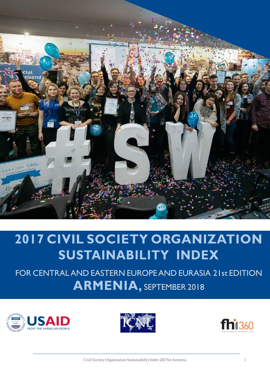

# 2017 CIVIL SOCIETY ORGANIZATION SUSTAINABILITY INDEX

FOR CENTRALAND EASTERN EUROPEAND EURASIA 21st EDITION ARMENIA, SEPTEMBER 2018





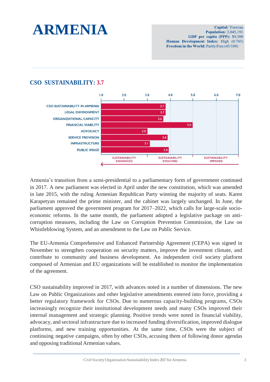

**Capital:** Yerevan **Population: 3,045,191** GDP per capita (PPP): \$9,500 Human Development Index: High (0.743) Freedom in the World: Partly Free (45/100)

# **CSO SUSTAINABILITY: 3.7**



Armenia's transition from a semi-presidential to a parliamentary form of government continued in 2017. A new parliament was elected in April under the new constitution, which was amended in late 2015, with the ruling Armenian Republican Party winning the majority of seats. Karen Karapetyan remained the prime minister, and the cabinet was largely unchanged. In June, the parliament approved the government program for 2017–2022, which calls for large-scale socioeconomic reforms. In the same month, the parliament adopted a legislative package on anticorruption measures, including the Law on Corruption Prevention Commission, the Law on Whistleblowing System, and an amendment to the Law on Public Service.

The EU-Armenia Comprehensive and Enhanced Partnership Agreement (CEPA) was signed in November to strengthen cooperation on security matters, improve the investment climate, and contribute to community and business development. An independent civil society platform composed of Armenian and EU organizations will be established to monitor the implementation of the agreement.

CSO sustainability improved in 2017, with advances noted in a number of dimensions. The new Law on Public Organizations and other legislative amendments entered into force, providing a better regulatory framework for CSOs. Due to numerous capacity-building programs, CSOs increasingly recognize their institutional development needs and many CSOs improved their internal management and strategic planning. Positive trends were noted in financial viability, advocacy, and sectoral infrastructure due to increased funding diversification, improved dialogue platforms, and new training opportunities. At the same time, CSOs were the subject of continuing negative campaigns, often by other CSOs, accusing them of following donor agendas and opposing traditional Armenian values.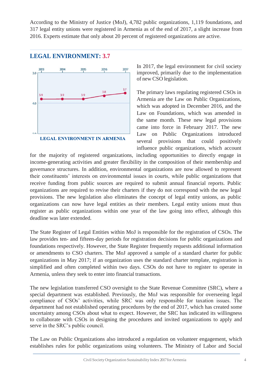According to the Ministry of Justice (MoJ), 4,782 public organizations, 1,119 foundations, and 317 legal entity unions were registered in Armenia as of the end of 2017, a slight increase from 2016. Experts estimate that only about 20 percent of registered organizations are active.

# **LEGAL ENVIRONMENT: 3.7**



In 2017, the legal environment for civil society improved, primarily due to the implementation of new CSO legislation.

The primary laws regulating registered CSOs in Armenia are the Law on Public Organizations, which was adopted in December 2016, and the Law on Foundations, which was amended in the same month. These new legal provisions came into force in February 2017. The new Law on Public Organizations introduced several provisions that could positively influence public organizations, which account

for the majority of registered organizations, including opportunities to directly engage in income-generating activities and greater flexibility in the composition of their membership and governance structures. In addition, environmental organizations are now allowed to represent their constituents' interests on environmental issues in courts, while public organizations that receive funding from public sources are required to submit annual financial reports. Public organizations are required to revise their charters if they do not correspond with the new legal provisions. The new legislation also eliminates the concept of legal entity unions, as public organizations can now have legal entities as their members. Legal entity unions must thus register as public organizations within one year of the law going into effect, although this deadline was later extended.

The State Register of Legal Entities within MoJ is responsible for the registration of CSOs. The law provides ten- and fifteen-day periods for registration decisions for public organizations and foundations respectively. However, the State Register frequently requests additional information or amendments to CSO charters. The MoJ approved a sample of a standard charter for public organizations in May 2017; if an organization uses the standard charter template, registration is simplified and often completed within two days. CSOs do not have to register to operate in Armenia, unless they seek to enter into financial transactions.

The new legislation transferred CSO oversight to the State Revenue Committee (SRC), where a special department was established. Previously, the MoJ was responsible for overseeing legal compliance of CSOs' activities, while SRC was only responsible for taxation issues. The department had not established operating procedures by the end of 2017, which has created some uncertainty among CSOs about what to expect. However, the SRC has indicated its willingness to collaborate with CSOs in designing the procedures and invited organizations to apply and serve in the SRC's public council.

The Law on Public Organizations also introduced a regulation on volunteer engagement, which establishes rules for public organizations using volunteers. The Ministry of Labor and Social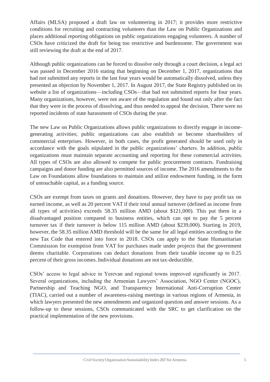Affairs (MLSA) proposed a draft law on volunteering in 2017; it provides more restrictive conditions for recruiting and contracting volunteers than the Law on Public Organizations and places additional reporting obligations on public organizations engaging volunteers. A number of CSOs have criticized the draft for being too restrictive and burdensome. The government was still reviewing the draft at the end of 2017.

Although public organizations can be forced to dissolve only through a court decision, a legal act was passed in December 2016 stating that beginning on December 1, 2017, organizations that had not submitted any reports in the last four years would be automatically dissolved, unless they presented an objection by November 1, 2017. In August 2017, the State Registry published on its website a list of organizations—including CSOs—that had not submitted reports for four years. Many organizations, however, were not aware of the regulation and found out only after the fact that they were in the process of dissolving, and thus needed to appeal the decision. There were no reported incidents of state harassment of CSOs during the year.

The new Law on Public Organizations allows public organizations to directly engage in incomegenerating activities; public organizations can also establish or become shareholders of commercial enterprises. However, in both cases, the profit generated should be used only in accordance with the goals stipulated in the public organizations' charters. In addition, public organizations must maintain separate accounting and reporting for these commercial activities. All types of CSOs are also allowed to compete for public procurement contracts. Fundraising campaigns and donor funding are also permitted sources of income. The 2016 amendments to the Law on Foundations allow foundations to maintain and utilize endowment funding, in the form of untouchable capital, as a funding source.

CSOs are exempt from taxes on grants and donations. However, they have to pay profit tax on earned income, as well as 20 percent VAT if their total annual turnover (defined as income from all types of activities) exceeds 58.35 million AMD (about \$121,000). This put them in a disadvantaged position compared to business entities, which can opt to pay the 5 percent turnover tax if their turnover is below 115 million AMD (about \$239,000). Starting in 2019, however, the 58.35 million AMD threshold will be the same for all legal entities according to the new Tax Code that entered into force in 2018. CSOs can apply to the State Humanitarian Commission for exemption from VAT for purchases made under projects that the government deems charitable. Corporations can deduct donations from their taxable income up to 0.25 percent of their gross incomes. Individual donations are not tax-deductible.

CSOs' access to legal advice in Yerevan and regional towns improved significantly in 2017. Several organizations, including the Armenian Lawyers' Association, NGO Center (NGOC), Partnership and Teaching NGO, and Transparency International Anti-Corruption Center (TIAC), carried out a number of awareness-raising meetings in various regions of Armenia, in which lawyers presented the new amendments and organized question and answer sessions. As a follow-up to these sessions, CSOs communicated with the SRC to get clarification on the practical implementation of the new provisions.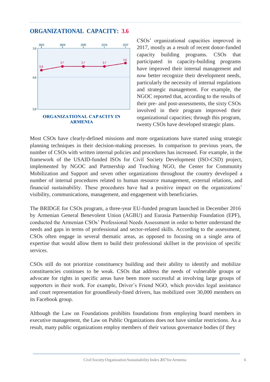# **ORGANIZATIONAL CAPACITY: 3.6**



CSOs' organizational capacities improved in 2017, mostly as a result of recent donor-funded capacity building programs. CSOs that participated in capacity-building programs have improved their internal management and now better recognize their development needs, particularly the necessity of internal regulations and strategic management. For example, the NGOC reported that, according to the results of their pre- and post-assessments, the sixty CSOs involved in their program improved their organizational capacities; through this program, twenty CSOs have developed strategic plans.

Most CSOs have clearly-defined missions and more organizations have started using strategic planning techniques in their decision-making processes. In comparison to previous years, the number of CSOs with written internal policies and procedures has increased. For example, in the framework of the USAID-funded ISOs for Civil Society Development (ISO-CSD) project, implemented by NGOC and Partnership and Teaching NGO, the Center for Community Mobilization and Support and seven other organizations throughout the country developed a number of internal procedures related to human resource management, external relations, and financial sustainability. These procedures have had a positive impact on the organizations' visibility, communications, management, and engagement with beneficiaries.

The BRIDGE for CSOs program, a three-year EU-funded program launched in December 2016 by Armenian General Benevolent Union (AGBU) and Eurasia Partnership Foundation (EPF), conducted the Armenian CSOs' Professional Needs Assessment in order to better understand the needs and gaps in terms of professional and sector-related skills. According to the assessment, CSOs often engage in several thematic areas, as opposed to focusing on a single area of expertise that would allow them to build their professional skillset in the provision of specific services.

CSOs still do not prioritize constituency building and their ability to identify and mobilize constituencies continues to be weak. CSOs that address the needs of vulnerable groups or advocate for rights in specific areas have been more successful at involving large groups of supporters in their work. For example, Driver's Friend NGO, which provides legal assistance and court representation for groundlessly-fined drivers, has mobilized over 30,000 members on its Facebook group.

Although the Law on Foundations prohibits foundations from employing board members in executive management, the Law on Public Organizations does not have similar restrictions. As a result, many public organizations employ members of their various governance bodies (if they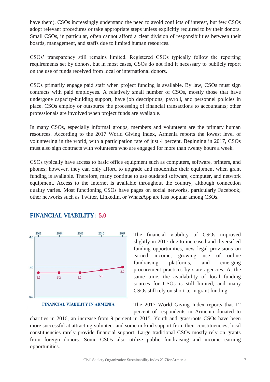have them). CSOs increasingly understand the need to avoid conflicts of interest, but few CSOs adopt relevant procedures or take appropriate steps unless explicitly required to by their donors. Small CSOs, in particular, often cannot afford a clear division of responsibilities between their boards, management, and staffs due to limited human resources.

CSOs' transparency still remains limited. Registered CSOs typically follow the reporting requirements set by donors, but in most cases, CSOs do not find it necessary to publicly report on the use of funds received from local or international donors.

CSOs primarily engage paid staff when project funding is available. By law, CSOs must sign contracts with paid employees. A relatively small number of CSOs, mostly those that have undergone capacity-building support, have job descriptions, payroll, and personnel policies in place. CSOs employ or outsource the processing of financial transactions to accountants; other professionals are involved when project funds are available.

In many CSOs, especially informal groups, members and volunteers are the primary human resources. According to the 2017 World Giving Index, Armenia reports the lowest level of volunteering in the world, with a participation rate of just 4 percent. Beginning in 2017, CSOs must also sign contracts with volunteers who are engaged for more than twenty hours a week.

CSOs typically have access to basic office equipment such as computers, software, printers, and phones; however, they can only afford to upgrade and modernize their equipment when grant funding is available. Therefore, many continue to use outdated software, computer, and network equipment. Access to the Internet is available throughout the country, although connection quality varies. Most functioning CSOs have pages on social networks, particularly Facebook; other networks such as Twitter, LinkedIn, or WhatsApp are less popular among CSOs.

# **FINANCIAL VIABILITY: 5.0**



#### **FINANCIAL VIABILITY IN ARMENIA**

The financial viability of CSOs improved slightly in 2017 due to increased and diversified funding opportunities, new legal provisions on earned income, growing use of online fundraising platforms, and emerging procurement practices by state agencies. At the same time, the availability of local funding sources for CSOs is still limited, and many CSOs still rely on short-term grant funding.

The 2017 World Giving Index reports that 12 percent of respondents in Armenia donated to

charities in 2016, an increase from 9 percent in 2015. Youth and grassroots CSOs have been more successful at attracting volunteer and some in-kind support from their constituencies; local constituencies rarely provide financial support. Large traditional CSOs mostly rely on grants from foreign donors. Some CSOs also utilize public fundraising and income earning opportunities.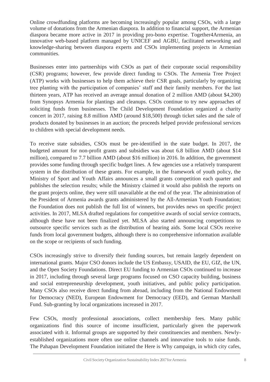Online crowdfunding platforms are becoming increasingly popular among CSOs, with a large volume of donations from the Armenian diaspora. In addition to financial support, the Armenian diaspora became more active in 2017 in providing pro-bono expertise. Together4Armenia, an innovative web-based platform managed by UNICEF and AGBU, facilitated networking and knowledge-sharing between diaspora experts and CSOs implementing projects in Armenian communities.

Businesses enter into partnerships with CSOs as part of their corporate social responsibility (CSR) programs; however, few provide direct funding to CSOs. The Armenia Tree Project (ATP) works with businesses to help them achieve their CSR goals, particularly by organizing tree planting with the participation of companies' staff and their family members. For the last thirteen years, ATP has received an average annual donation of 2 million AMD (about \$4,200) from Synopsys Armenia for plantings and cleanups. CSOs continue to try new approaches of soliciting funds from businesses. The Child Development Foundation organized a charity concert in 2017, raising 8.8 million AMD (around \$18,500) through ticket sales and the sale of products donated by businesses in an auction; the proceeds helped provide professional services to children with special development needs.

To receive state subsidies, CSOs must be pre-identified in the state budget. In 2017, the budgeted amount for non-profit grants and subsidies was about 6.8 billion AMD (about \$14 million), compared to 7.7 billion AMD (about \$16 million) in 2016. In addition, the government provides some funding through specific budget lines. A few agencies use a relatively transparent system in the distribution of these grants. For example, in the framework of youth policy, the Ministry of Sport and Youth Affairs announces a small grants competition each quarter and publishes the selection results; while the Ministry claimed it would also publish the reports on the grant projects online, they were still unavailable at the end of the year. The administration of the President of Armenia awards grants administered by the All-Armenian Youth Foundation; the Foundation does not publish the full list of winners, but provides news on specific project activities. In 2017, MLSA drafted regulations for competitive awards of social service contracts, although these have not been finalized yet. MLSA also started announcing competitions to outsource specific services such as the distribution of hearing aids. Some local CSOs receive funds from local government budgets, although there is no comprehensive information available on the scope or recipients of such funding.

CSOs increasingly strive to diversify their funding sources, but remain largely dependent on international grants. Major CSO donors include the US Embassy, USAID, the EU, GIZ, the UN, and the Open Society Foundations. Direct EU funding to Armenian CSOs continued to increase in 2017, including through several large programs focused on CSO capacity building, business and social entrepreneurship development, youth initiatives, and public policy participation. Many CSOs also receive direct funding from abroad, including from the National Endowment for Democracy (NED), European Endowment for Democracy (EED), and German Marshall Fund. Sub-granting by local organizations increased in 2017.

Few CSOs, mostly professional associations, collect membership fees. Many public organizations find this source of income insufficient, particularly given the paperwork associated with it. Informal groups are supported by their constituencies and members. Newlyestablished organizations more often use online channels and innovative tools to raise funds. The Pahapan Development Foundation initiated the Here is Why campaign, in which city cafes,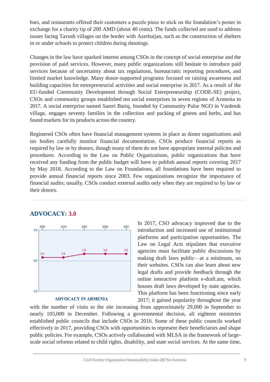bars, and restaurants offered their customers a puzzle piece to stick on the foundation's poster in exchange for a charity tip of 200 AMD (about 40 cents). The funds collected are used to address issues facing Tavush villages on the border with Azerbaijan, such as the construction of shelters in or under schools to protect children during shootings.

Changes in the law have sparked interest among CSOs in the concept of social enterprise and the provision of paid services. However, many public organizations still hesitate to introduce paid services because of uncertainty about tax regulations, bureaucratic reporting procedures, and limited market knowledge. Many donor-supported programs focused on raising awareness and building capacities for entrepreneurial activities and social enterprise in 2017. As a result of the EU-funded Community Development through Social Entrepreneurship (CODE-SE) project, CSOs and community groups established ten social enterprises in seven regions of Armenia in 2017. A social enterprise named Sareri Bariq, founded by Community Pulse NGO in Vardenik village, engages seventy families in the collection and packing of greens and herbs, and has found markets for its products across the country.

Registered CSOs often have financial management systems in place as donor organizations and tax bodies carefully monitor financial documentation. CSOs produce financial reports as required by law or by donors, though many of them do not have appropriate internal policies and procedures. According to the Law on Public Organizations, public organizations that have received any funding from the public budget will have to publish annual reports covering 2017 by May 2018. According to the Law on Foundations, all foundations have been required to provide annual financial reports since 2003. Few organizations recognize the importance of financial audits; usually, CSOs conduct external audits only when they are required to by law or their donors.

### 2015 2016 2017 2013 2014  $3.0$  $3.8$  $3.8$  $3.8$  $\overline{3}$  $3.9$  $4.0$ 5.0

**ADVOCACY: 3.0**

#### **ADVOCACY IN ARMENIA**

In 2017, CSO advocacy improved due to the introduction and increased use of institutional platforms and participation opportunities. The Law on Legal Acts stipulates that executive agencies must facilitate public discussions by making draft laws public—at a minimum, on their websites. CSOs can also learn about new legal drafts and provide feedback through the online interactive platform e-draft.am, which houses draft laws developed by state agencies. This platform has been functioning since early 2017; it gained popularity throughout the year

with the number of visits to the site increasing from approximately 29,000 in September to nearly 105,000 in December. Following a governmental decision, all eighteen ministries established public councils that include CSOs in 2016. Some of these public councils worked effectively in 2017, providing CSOs with opportunities to represent their beneficiaries and shape public policies. For example, CSOs actively collaborated with MLSA in the framework of largescale social reforms related to child rights, disability, and state social services. At the same time,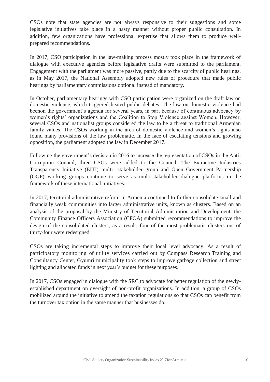CSOs note that state agencies are not always responsive to their suggestions and some legislative initiatives take place in a hasty manner without proper public consultation. In addition, few organizations have professional expertise that allows them to produce wellprepared recommendations.

In 2017, CSO participation in the law-making process mostly took place in the framework of dialogue with executive agencies before legislative drafts were submitted to the parliament. Engagement with the parliament was more passive, partly due to the scarcity of public hearings, as in May 2017, the National Assembly adopted new rules of procedure that made public hearings by parliamentary commissions optional instead of mandatory.

In October, parliamentary hearings with CSO participation were organized on the draft law on domestic violence, which triggered heated public debates. The law on domestic violence had beenon the government's agenda for several years, in part because of continuous advocacy by women's rights' organizations and the Coalition to Stop Violence against Women. However, several CSOs and nationalist groups considered the law to be a threat to traditional Armenian family values. The CSOs working in the area of domestic violence and women's rights also found many provisions of the law problematic. In the face of escalating tensions and growing opposition, the parliament adopted the law in December 2017.

Following the government's decision in 2016 to increase the representation of CSOs in the Anti-Corruption Council, three CSOs were added to the Council. The Extractive Industries Transparency Initiative (EITI) multi- stakeholder group and Open Government Partnership (OGP) working groups continue to serve as multi-stakeholder dialogue platforms in the framework of these international initiatives.

In 2017, territorial administrative reform in Armenia continued to further consolidate small and financially weak communities into larger administrative units, known as clusters. Based on an analysis of the proposal by the Ministry of Territorial Administration and Development, the Community Finance Officers Association (CFOA) submitted recommendations to improve the design of the consolidated clusters; as a result, four of the most problematic clusters out of thirty-four were redesigned.

CSOs are taking incremental steps to improve their local level advocacy. As a result of participatory monitoring of utility services carried out by Compass Research Training and Consultancy Center, Gyumri municipality took steps to improve garbage collection and street lighting and allocated funds in next year's budget for these purposes.

In 2017, CSOs engaged in dialogue with the SRC to advocate for better regulation of the newlyestablished department on oversight of non-profit organizations. In addition, a group of CSOs mobilized around the initiative to amend the taxation regulations so that CSOs can benefit from the turnover tax option in the same manner that businesses do.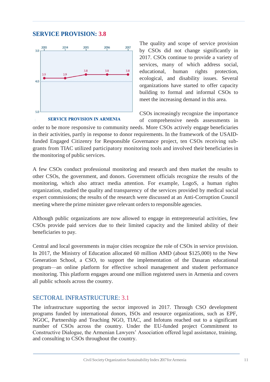# **SERVICE PROVISION: 3.8**



#### **SERVICE PROVISION IN ARMENIA**

The quality and scope of service provision by CSOs did not change significantly in 2017. CSOs continue to provide a variety of services, many of which address social, educational, human rights protection, ecological, and disability issues. Several organizations have started to offer capacity building to formal and informal CSOs to meet the increasing demand in this area.

CSOs increasingly recognize the importance

of comprehensive needs assessments in order to be more responsive to community needs. More CSOs actively engage beneficiaries in their activities, partly in response to donor requirements. In the framework of the USAIDfunded Engaged Citizenry for Responsible Governance project, ten CSOs receiving subgrants from TIAC utilized participatory monitoring tools and involved their beneficiaries in the monitoring of public services.

A few CSOs conduct professional monitoring and research and then market the results to other CSOs, the government, and donors. Government officials recognize the results of the monitoring, which also attract media attention. For example, LogoS, a human rights organization, studied the quality and transparency of the services provided by medical social expert commissions; the results of the research were discussed at an Anti-Corruption Council meeting where the prime minister gave relevant orders to responsible agencies.

Although public organizations are now allowed to engage in entrepreneurial activities, few CSOs provide paid services due to their limited capacity and the limited ability of their beneficiaries to pay.

Central and local governments in major cities recognize the role of CSOs in service provision. In 2017, the Ministry of Education allocated 60 million AMD (about \$125,000) to the New Generation School, a CSO, to support the implementation of the Dasaran educational program—an online platform for effective school management and student performance monitoring. This platform engages around one million registered users in Armenia and covers all public schools across the country.

## SECTORAL INFRASTRUCTURE: 3.1

The infrastructure supporting the sector improved in 2017. Through CSO development programs funded by international donors, ISOs and resource organizations, such as EPF, NGOC, Partnership and Teaching NGO, TIAC, and Infotuns reached out to a significant number of CSOs across the country. Under the EU-funded project Commitment to Constructive Dialogue, the Armenian Lawyers' Association offered legal assistance, training, and consulting to CSOs throughout the country.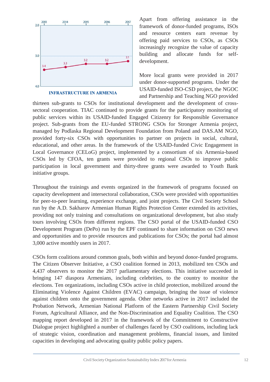

**INFRASTRUCTURE IN ARMENIA** 

Apart from offering assistance in the framework of donor-funded programs, ISOs and resource centers earn revenue by offering paid services to CSOs, as CSOs increasingly recognize the value of capacity building and allocate funds for selfdevelopment.

More local grants were provided in 2017 under donor-supported programs. Under the USAID-funded ISO-CSD project, the NGOC and Partnership and Teaching NGO provided

thirteen sub-grants to CSOs for institutional development and the development of crosssectoral cooperation. TIAC continued to provide grants for the participatory monitoring of public services within its USAID-funded Engaged Citizenry for Responsible Governance project. Sub-grants from the EU-funded STRONG CSOs for Stronger Armenia project, managed by Podlaska Regional Development Foundation from Poland and DAS.AM NGO, provided forty-six CSOs with opportunities to partner on projects in social, cultural, educational, and other areas. In the framework of the USAID-funded Civic Engagement in Local Governance (CELoG) project, implemented by a consortium of six Armenia-based CSOs led by CFOA, ten grants were provided to regional CSOs to improve public participation in local government and thirty-three grants were awarded to Youth Bank initiative groups.

Throughout the trainings and events organized in the framework of programs focused on capacity development and intersectoral collaboration, CSOs were provided with opportunities for peer-to-peer learning, experience exchange, and joint projects. The Civil Society School run by the A.D. Sakharov Armenian Human Rights Protection Center extended its activities, providing not only training and consultations on organizational development, but also study tours involving CSOs from different regions. The CSO portal of the USAID-funded CSO Development Program (DePo) run by the EPF continued to share information on CSO news and opportunities and to provide resources and publications for CSOs; the portal had almost 3,000 active monthly users in 2017.

CSOs form coalitions around common goals, both within and beyond donor-funded programs. The Citizen Observer Initiative, a CSO coalition formed in 2013, mobilized ten CSOs and 4,437 observers to monitor the 2017 parliamentary elections. This initiative succeeded in bringing 147 diaspora Armenians, including celebrities, to the country to monitor the elections. Ten organizations, including CSOs active in child protection, mobilized around the Eliminating Violence Against Children (EVAC) campaign, bringing the issue of violence against children onto the government agenda. Other networks active in 2017 included the Probation Network, Armenian National Platform of the Eastern Partnership Civil Society Forum, Agricultural Alliance, and the Non-Discrimination and Equality Coalition. The CSO mapping report developed in 2017 in the framework of the Commitment to Constructive Dialogue project highlighted a number of challenges faced by CSO coalitions, including lack of strategic vision, coordination and management problems, financial issues, and limited capacities in developing and advocating quality public policy papers.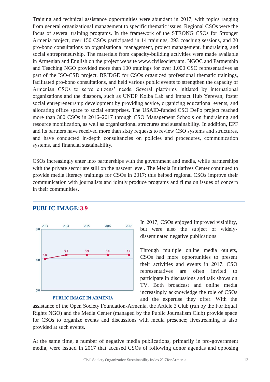Training and technical assistance opportunities were abundant in 2017, with topics ranging from general organizational management to specific thematic issues. Regional CSOs were the focus of several training programs. In the framework of the STRONG CSOs for Stronger Armenia project, over 150 CSOs participated in 14 trainings, 293 coaching sessions, and 20 pro-bono consultations on organizational management, project management, fundraising, and social entrepreneurship. The materials from capacity-building activities were made available in Armenian and English on the project website [www.civilsociety.am.](http://www.civilsociety.am/) NGOC and Partnership and Teaching NGO provided more than 100 trainings for over 1,000 CSO representatives as part of the ISO-CSD project. BRIDGE for CSOs organized professional thematic trainings, facilitated pro-bono consultations, and held various public events to strengthen the capacity of Armenian CSOs to serve citizens' needs. Several platforms initiated by international organizations and the diaspora, such as UNDP Kolba Lab and Impact Hub Yerevan, foster social entrepreneurship development by providing advice, organizing educational events, and allocating office space to social enterprises. The USAID-funded CSO DePo project reached more than 300 CSOs in 2016–2017 through CSO Management Schools on fundraising and resource mobilization, as well as organizational structures and sustainability. In addition, EPF and its partners have received more than sixty requests to review CSO systems and structures, and have conducted in-depth consultancies on policies and procedures, communication systems, and financial sustainability.

CSOs increasingly enter into partnerships with the government and media, while partnerships with the private sector are still on the nascent level. The Media Initiatives Center continued to provide media literacy trainings for CSOs in 2017; this helped regional CSOs improve their communication with journalists and jointly produce programs and films on issues of concern in their communities.



**PUBLIC IMAGE:3.9**

**PUBLIC IMAGE IN ARMENIA** 

In 2017, CSOs enjoyed improved visibility, but were also the subject of widelydisseminated negative publications.

Through multiple online media outlets, CSOs had more opportunities to present their activities and events in 2017. CSO representatives are often invited to participate in discussions and talk shows on TV. Both broadcast and online media increasingly acknowledge the role of CSOs and the expertise they offer. With the

assistance of the Open Society Foundation-Armenia, the Article 3 Club (run by the For Equal Rights NGO) and the Media Center (managed by the Public Journalism Club) provide space for CSOs to organize events and discussions with media presence; livestreaming is also provided at such events.

At the same time, a number of negative media publications, primarily in pro-government media, were issued in 2017 that accused CSOs of following donor agendas and opposing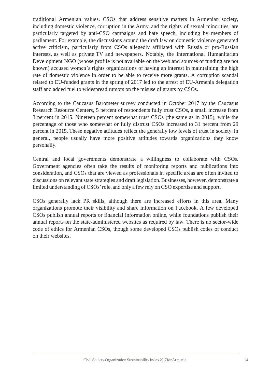traditional Armenian values. CSOs that address sensitive matters in Armenian society, including domestic violence, corruption in the Army, and the rights of sexual minorities, are particularly targeted by anti-CSO campaigns and hate speech, including by members of parliament. For example, the discussions around the draft law on domestic violence generated active criticism, particularly from CSOs allegedly affiliated with Russia or pro-Russian interests, as well as private TV and newspapers. Notably, the International Humanitarian Development NGO (whose profile is not available on the web and sources of funding are not known) accused women's rights organizations of having an interest in maintaining the high rate of domestic violence in order to be able to receive more grants. A corruption scandal related to EU-funded grants in the spring of 2017 led to the arrest of EU-Armenia delegation staff and added fuel to widespread rumors on the misuse of grants by CSOs.

According to the Caucasus Barometer survey conducted in October 2017 by the Caucasus Research Resource Centers, 5 percent of respondents fully trust CSOs, a small increase from 3 percent in 2015. Nineteen percent somewhat trust CSOs (the same as in 2015), while the percentage of those who somewhat or fully distrust CSOs increased to 31 percent from 29 percent in 2015. These negative attitudes reflect the generally low levels of trust in society. In general, people usually have more positive attitudes towards organizations they know personally.

Central and local governments demonstrate a willingness to collaborate with CSOs. Government agencies often take the results of monitoring reports and publications into consideration, and CSOs that are viewed as professionals in specific areas are often invited to discussions on relevant state strategies and draft legislation. Businesses, however, demonstrate a limited understanding of CSOs'role, and only a few rely on CSO expertise and support.

CSOs generally lack PR skills, although there are increased efforts in this area. Many organizations promote their visibility and share information on Facebook. A few developed CSOs publish annual reports or financial information online, while foundations publish their annual reports on the state-administered websites as required by law. There is no sector-wide code of ethics for Armenian CSOs, though some developed CSOs publish codes of conduct on their websites.